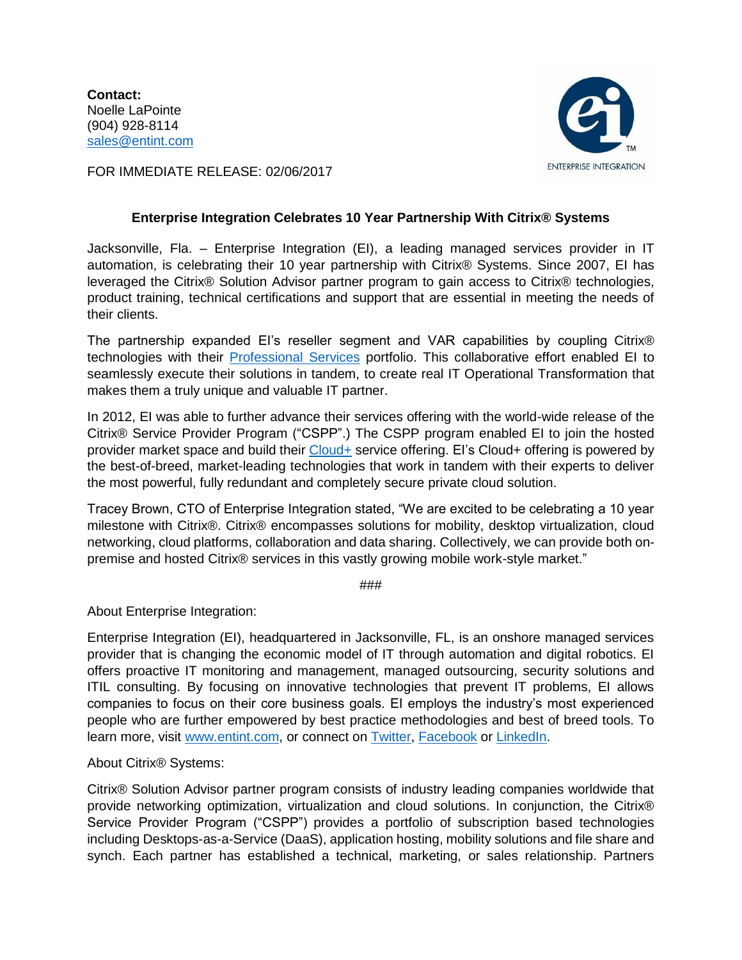**Contact:** Noelle LaPointe (904) 928-8114 [sales@entint.com](mailto:sales@entint.com)



FOR IMMEDIATE RELEASE: 02/06/2017

## **Enterprise Integration Celebrates 10 Year Partnership With Citrix® Systems**

Jacksonville, Fla. – Enterprise Integration (EI), a leading managed services provider in IT automation, is celebrating their 10 year partnership with Citrix® Systems. Since 2007, EI has leveraged the Citrix® Solution Advisor partner program to gain access to Citrix® technologies, product training, technical certifications and support that are essential in meeting the needs of their clients.

The partnership expanded EI's reseller segment and VAR capabilities by coupling Citrix® technologies with their [Professional Services](http://entint.com/services-solutions/professional-services/) portfolio. This collaborative effort enabled EI to seamlessly execute their solutions in tandem, to create real IT Operational Transformation that makes them a truly unique and valuable IT partner.

In 2012, EI was able to further advance their services offering with the world-wide release of the Citrix® Service Provider Program ("CSPP".) The CSPP program enabled EI to join the hosted provider market space and build their [Cloud+](http://entint.com/services-solutions/cloud-services/) service offering. EI's Cloud+ offering is powered by the best-of-breed, market-leading technologies that work in tandem with their experts to deliver the most powerful, fully redundant and completely secure private cloud solution.

Tracey Brown, CTO of Enterprise Integration stated, "We are excited to be celebrating a 10 year milestone with Citrix®. Citrix® encompasses solutions for mobility, desktop virtualization, cloud networking, cloud platforms, collaboration and data sharing. Collectively, we can provide both onpremise and hosted Citrix® services in this vastly growing mobile work-style market."

###

About Enterprise Integration:

Enterprise Integration (EI), headquartered in Jacksonville, FL, is an onshore managed services provider that is changing the economic model of IT through automation and digital robotics. EI offers proactive IT monitoring and management, managed outsourcing, security solutions and ITIL consulting. By focusing on innovative technologies that prevent IT problems, EI allows companies to focus on their core business goals. EI employs the industry's most experienced people who are further empowered by best practice methodologies and best of breed tools. To learn more, visit [www.entint.com,](http://www.entint.com/) or connect on [Twitter,](https://twitter.com/entint) [Facebook](https://www.facebook.com/enterpriseintegration/) or [LinkedIn.](https://www.linkedin.com/company/enterprise-integration)

About Citrix® Systems:

Citrix® Solution Advisor partner program consists of industry leading companies worldwide that provide networking optimization, virtualization and cloud solutions. In conjunction, the Citrix® Service Provider Program ("CSPP") provides a portfolio of subscription based technologies including Desktops-as-a-Service (DaaS), application hosting, mobility solutions and file share and synch. Each partner has established a technical, marketing, or sales relationship. Partners